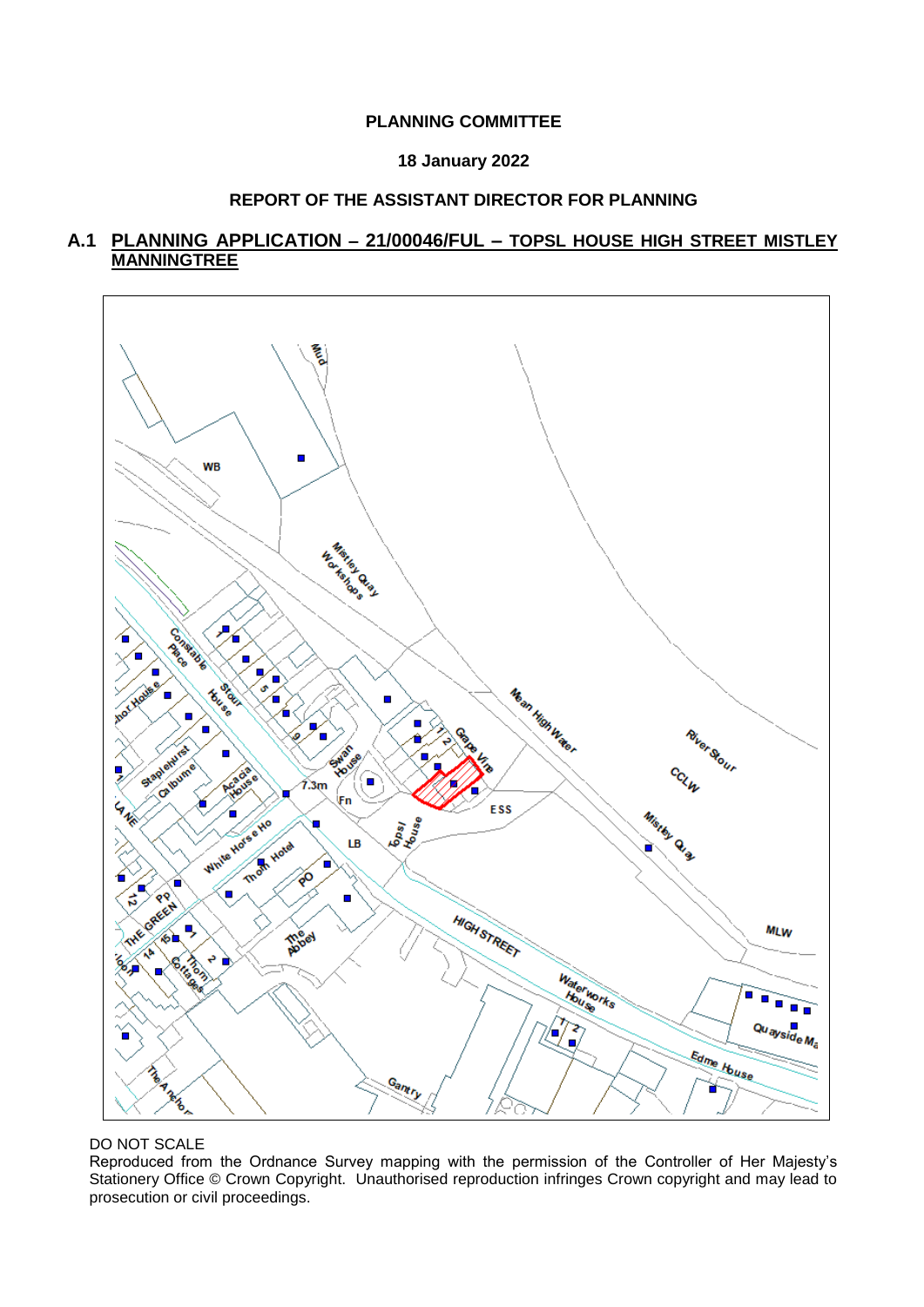## **PLANNING COMMITTEE**

## **18 January 2022**

# **REPORT OF THE ASSISTANT DIRECTOR FOR PLANNING**

# **A.1 PLANNING APPLICATION – 21/00046/FUL – TOPSL HOUSE HIGH STREET MISTLEY MANNINGTREE**



DO NOT SCALE

Reproduced from the Ordnance Survey mapping with the permission of the Controller of Her Majesty's Stationery Office © Crown Copyright. Unauthorised reproduction infringes Crown copyright and may lead to prosecution or civil proceedings.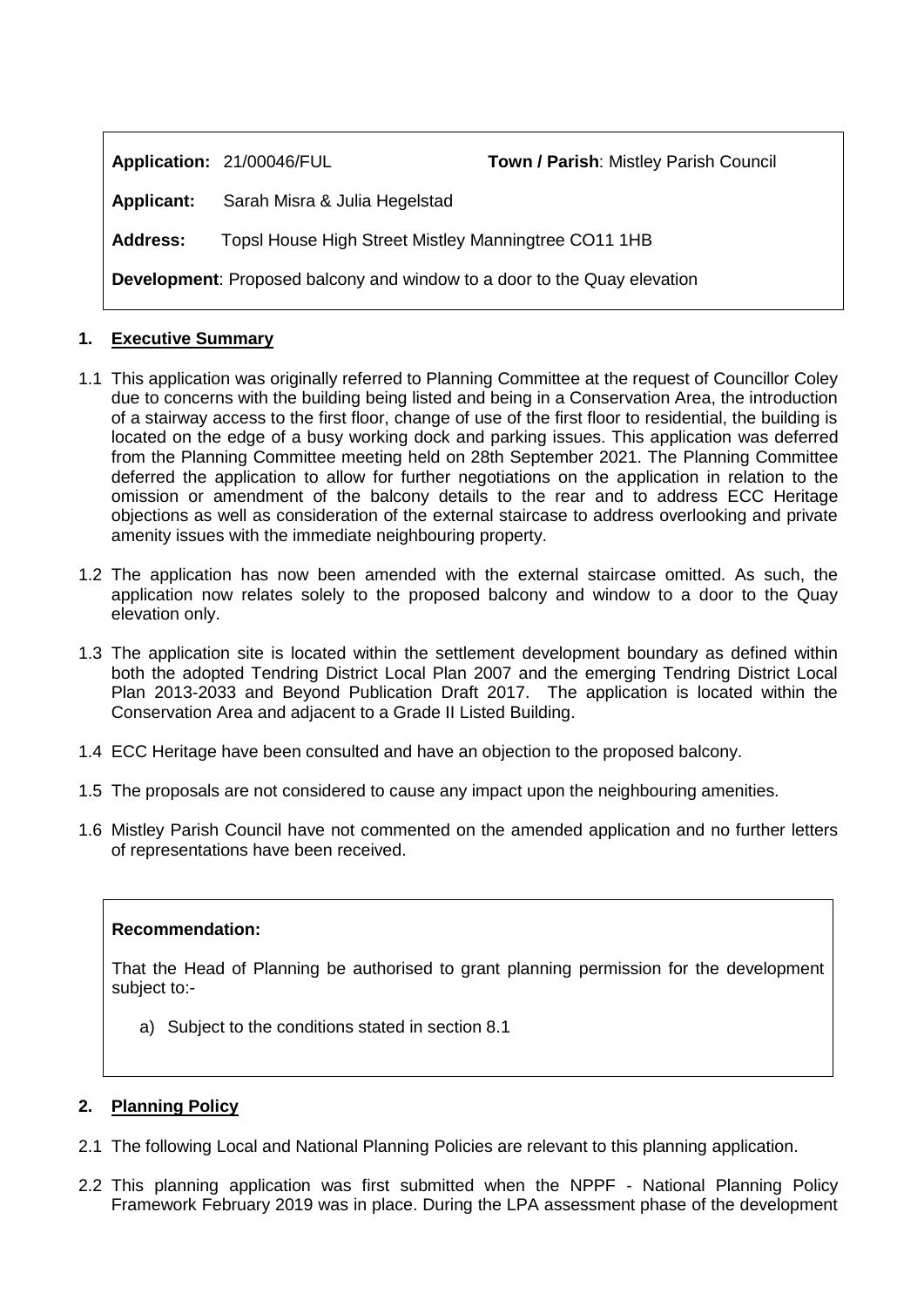**Application:** 21/00046/FUL **Town / Parish**: Mistley Parish Council

**Applicant:** Sarah Misra & Julia Hegelstad

**Address:** Topsl House High Street Mistley Manningtree CO11 1HB

**Development**: Proposed balcony and window to a door to the Quay elevation

# **1. Executive Summary**

- 1.1 This application was originally referred to Planning Committee at the request of Councillor Coley due to concerns with the building being listed and being in a Conservation Area, the introduction of a stairway access to the first floor, change of use of the first floor to residential, the building is located on the edge of a busy working dock and parking issues. This application was deferred from the Planning Committee meeting held on 28th September 2021. The Planning Committee deferred the application to allow for further negotiations on the application in relation to the omission or amendment of the balcony details to the rear and to address ECC Heritage objections as well as consideration of the external staircase to address overlooking and private amenity issues with the immediate neighbouring property.
- 1.2 The application has now been amended with the external staircase omitted. As such, the application now relates solely to the proposed balcony and window to a door to the Quay elevation only.
- 1.3 The application site is located within the settlement development boundary as defined within both the adopted Tendring District Local Plan 2007 and the emerging Tendring District Local Plan 2013-2033 and Beyond Publication Draft 2017. The application is located within the Conservation Area and adjacent to a Grade II Listed Building.
- 1.4 ECC Heritage have been consulted and have an objection to the proposed balcony.
- 1.5 The proposals are not considered to cause any impact upon the neighbouring amenities.
- 1.6 Mistley Parish Council have not commented on the amended application and no further letters of representations have been received.

### **Recommendation:**

That the Head of Planning be authorised to grant planning permission for the development subject to:-

a) Subject to the conditions stated in section 8.1

# **2. Planning Policy**

- 2.1 The following Local and National Planning Policies are relevant to this planning application.
- 2.2 This planning application was first submitted when the NPPF National Planning Policy Framework February 2019 was in place. During the LPA assessment phase of the development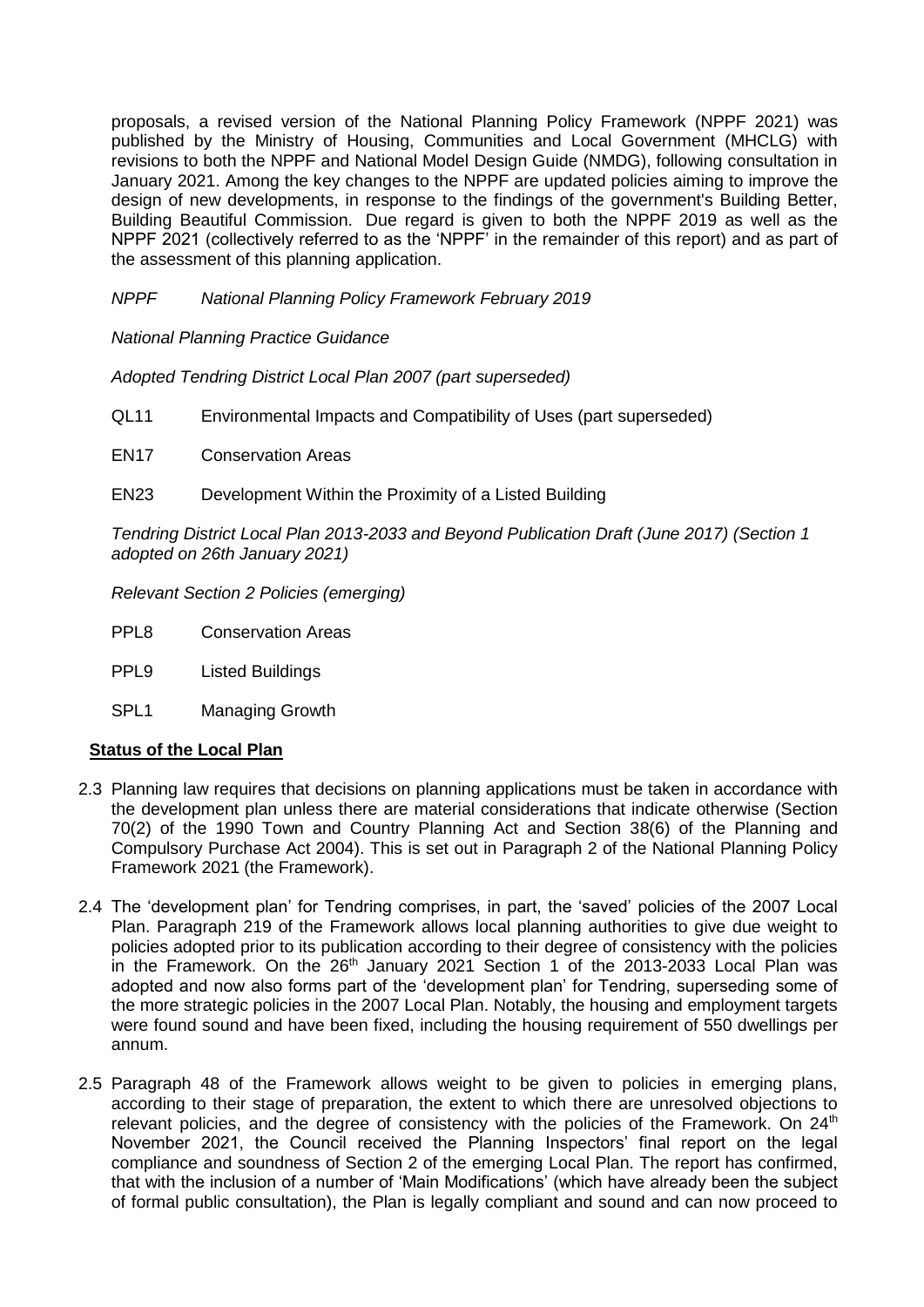proposals, a revised version of the National Planning Policy Framework (NPPF 2021) was published by the Ministry of Housing, Communities and Local Government (MHCLG) with revisions to both the NPPF and National Model Design Guide (NMDG), following consultation in January 2021. Among the key changes to the NPPF are updated policies aiming to improve the design of new developments, in response to the findings of the government's Building Better, Building Beautiful Commission. Due regard is given to both the NPPF 2019 as well as the NPPF 2021 (collectively referred to as the 'NPPF' in the remainder of this report) and as part of the assessment of this planning application.

# *NPPF National Planning Policy Framework February 2019*

*National Planning Practice Guidance*

*Adopted Tendring District Local Plan 2007 (part superseded)*

QL11 Environmental Impacts and Compatibility of Uses (part superseded)

EN17 Conservation Areas

EN23 Development Within the Proximity of a Listed Building

*Tendring District Local Plan 2013-2033 and Beyond Publication Draft (June 2017) (Section 1 adopted on 26th January 2021)*

*Relevant Section 2 Policies (emerging)*

- PPL8 Conservation Areas
- PPL9 Listed Buildings
- SPL1 Managing Growth

# **Status of the Local Plan**

- 2.3 Planning law requires that decisions on planning applications must be taken in accordance with the development plan unless there are material considerations that indicate otherwise (Section 70(2) of the 1990 Town and Country Planning Act and Section 38(6) of the Planning and Compulsory Purchase Act 2004). This is set out in Paragraph 2 of the National Planning Policy Framework 2021 (the Framework).
- 2.4 The 'development plan' for Tendring comprises, in part, the 'saved' policies of the 2007 Local Plan. Paragraph 219 of the Framework allows local planning authorities to give due weight to policies adopted prior to its publication according to their degree of consistency with the policies in the Framework. On the  $26<sup>th</sup>$  January 2021 Section 1 of the 2013-2033 Local Plan was adopted and now also forms part of the 'development plan' for Tendring, superseding some of the more strategic policies in the 2007 Local Plan. Notably, the housing and employment targets were found sound and have been fixed, including the housing requirement of 550 dwellings per annum.
- 2.5 Paragraph 48 of the Framework allows weight to be given to policies in emerging plans, according to their stage of preparation, the extent to which there are unresolved objections to relevant policies, and the degree of consistency with the policies of the Framework. On  $24<sup>th</sup>$ November 2021, the Council received the Planning Inspectors' final report on the legal compliance and soundness of Section 2 of the emerging Local Plan. The report has confirmed, that with the inclusion of a number of 'Main Modifications' (which have already been the subject of formal public consultation), the Plan is legally compliant and sound and can now proceed to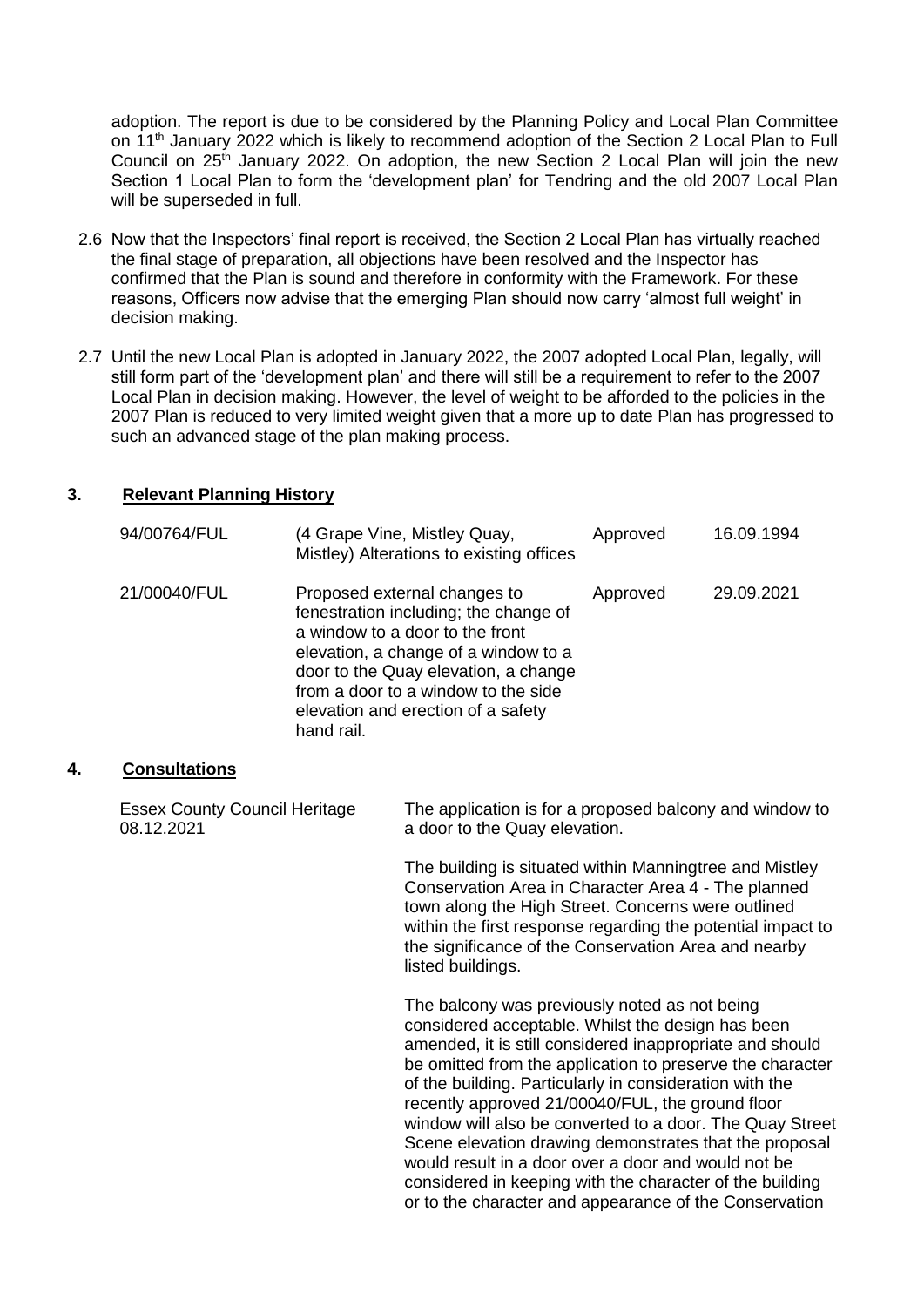adoption. The report is due to be considered by the Planning Policy and Local Plan Committee on 11<sup>th</sup> January 2022 which is likely to recommend adoption of the Section 2 Local Plan to Full Council on  $25<sup>th</sup>$  January 2022. On adoption, the new Section 2 Local Plan will join the new Section 1 Local Plan to form the 'development plan' for Tendring and the old 2007 Local Plan will be superseded in full.

- 2.6 Now that the Inspectors' final report is received, the Section 2 Local Plan has virtually reached the final stage of preparation, all objections have been resolved and the Inspector has confirmed that the Plan is sound and therefore in conformity with the Framework. For these reasons, Officers now advise that the emerging Plan should now carry 'almost full weight' in decision making.
- 2.7 Until the new Local Plan is adopted in January 2022, the 2007 adopted Local Plan, legally, will still form part of the 'development plan' and there will still be a requirement to refer to the 2007 Local Plan in decision making. However, the level of weight to be afforded to the policies in the 2007 Plan is reduced to very limited weight given that a more up to date Plan has progressed to such an advanced stage of the plan making process.

# **3. Relevant Planning History**

| 94/00764/FUL | (4 Grape Vine, Mistley Quay,<br>Mistley) Alterations to existing offices                                                                                                                                                                                                            | Approved | 16.09.1994 |
|--------------|-------------------------------------------------------------------------------------------------------------------------------------------------------------------------------------------------------------------------------------------------------------------------------------|----------|------------|
| 21/00040/FUL | Proposed external changes to<br>fenestration including; the change of<br>a window to a door to the front<br>elevation, a change of a window to a<br>door to the Quay elevation, a change<br>from a door to a window to the side<br>elevation and erection of a safety<br>hand rail. | Approved | 29.09.2021 |

# **4. Consultations**

| <b>Essex County Council Heritage</b><br>08.12.2021 | The application is for a proposed balcony and window to<br>a door to the Quay elevation.                                                                                                                                                                                                                                                                                                                                                                                                                                                                                                                                                      |
|----------------------------------------------------|-----------------------------------------------------------------------------------------------------------------------------------------------------------------------------------------------------------------------------------------------------------------------------------------------------------------------------------------------------------------------------------------------------------------------------------------------------------------------------------------------------------------------------------------------------------------------------------------------------------------------------------------------|
|                                                    | The building is situated within Manningtree and Mistley<br>Conservation Area in Character Area 4 - The planned<br>town along the High Street. Concerns were outlined<br>within the first response regarding the potential impact to<br>the significance of the Conservation Area and nearby<br>listed buildings.                                                                                                                                                                                                                                                                                                                              |
|                                                    | The balcony was previously noted as not being<br>considered acceptable. Whilst the design has been<br>amended, it is still considered inappropriate and should<br>be omitted from the application to preserve the character<br>of the building. Particularly in consideration with the<br>recently approved 21/00040/FUL, the ground floor<br>window will also be converted to a door. The Quay Street<br>Scene elevation drawing demonstrates that the proposal<br>would result in a door over a door and would not be<br>considered in keeping with the character of the building<br>or to the character and appearance of the Conservation |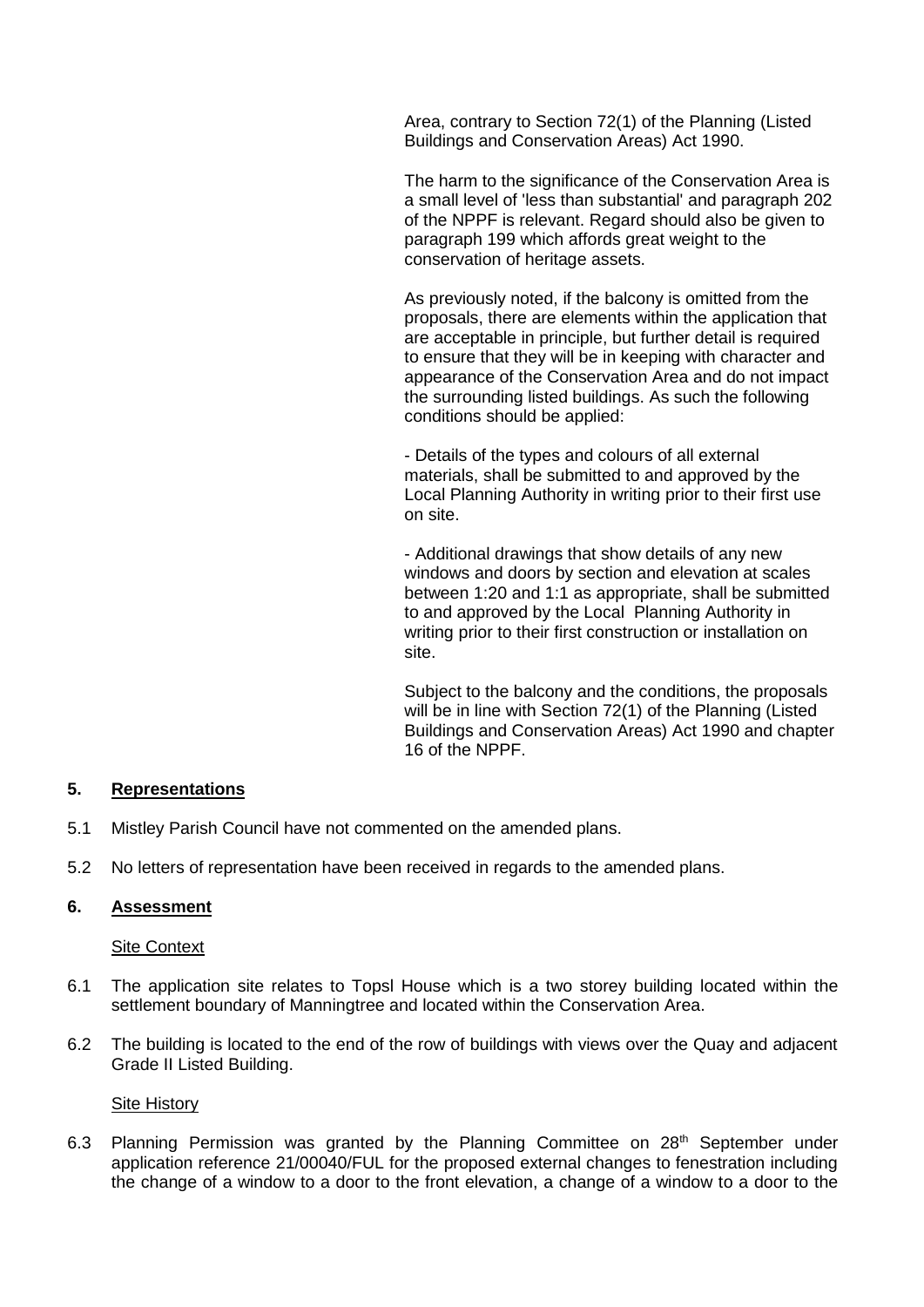Area, contrary to Section 72(1) of the Planning (Listed Buildings and Conservation Areas) Act 1990.

The harm to the significance of the Conservation Area is a small level of 'less than substantial' and paragraph 202 of the NPPF is relevant. Regard should also be given to paragraph 199 which affords great weight to the conservation of heritage assets.

As previously noted, if the balcony is omitted from the proposals, there are elements within the application that are acceptable in principle, but further detail is required to ensure that they will be in keeping with character and appearance of the Conservation Area and do not impact the surrounding listed buildings. As such the following conditions should be applied:

- Details of the types and colours of all external materials, shall be submitted to and approved by the Local Planning Authority in writing prior to their first use on site.

- Additional drawings that show details of any new windows and doors by section and elevation at scales between 1:20 and 1:1 as appropriate, shall be submitted to and approved by the Local Planning Authority in writing prior to their first construction or installation on site.

Subject to the balcony and the conditions, the proposals will be in line with Section 72(1) of the Planning (Listed Buildings and Conservation Areas) Act 1990 and chapter 16 of the NPPF.

# **5. Representations**

- 5.1 Mistley Parish Council have not commented on the amended plans.
- 5.2 No letters of representation have been received in regards to the amended plans.

## **6. Assessment**

# Site Context

- 6.1 The application site relates to Topsl House which is a two storey building located within the settlement boundary of Manningtree and located within the Conservation Area.
- 6.2 The building is located to the end of the row of buildings with views over the Quay and adjacent Grade II Listed Building.

### Site History

6.3 Planning Permission was granted by the Planning Committee on 28<sup>th</sup> September under application reference 21/00040/FUL for the proposed external changes to fenestration including the change of a window to a door to the front elevation, a change of a window to a door to the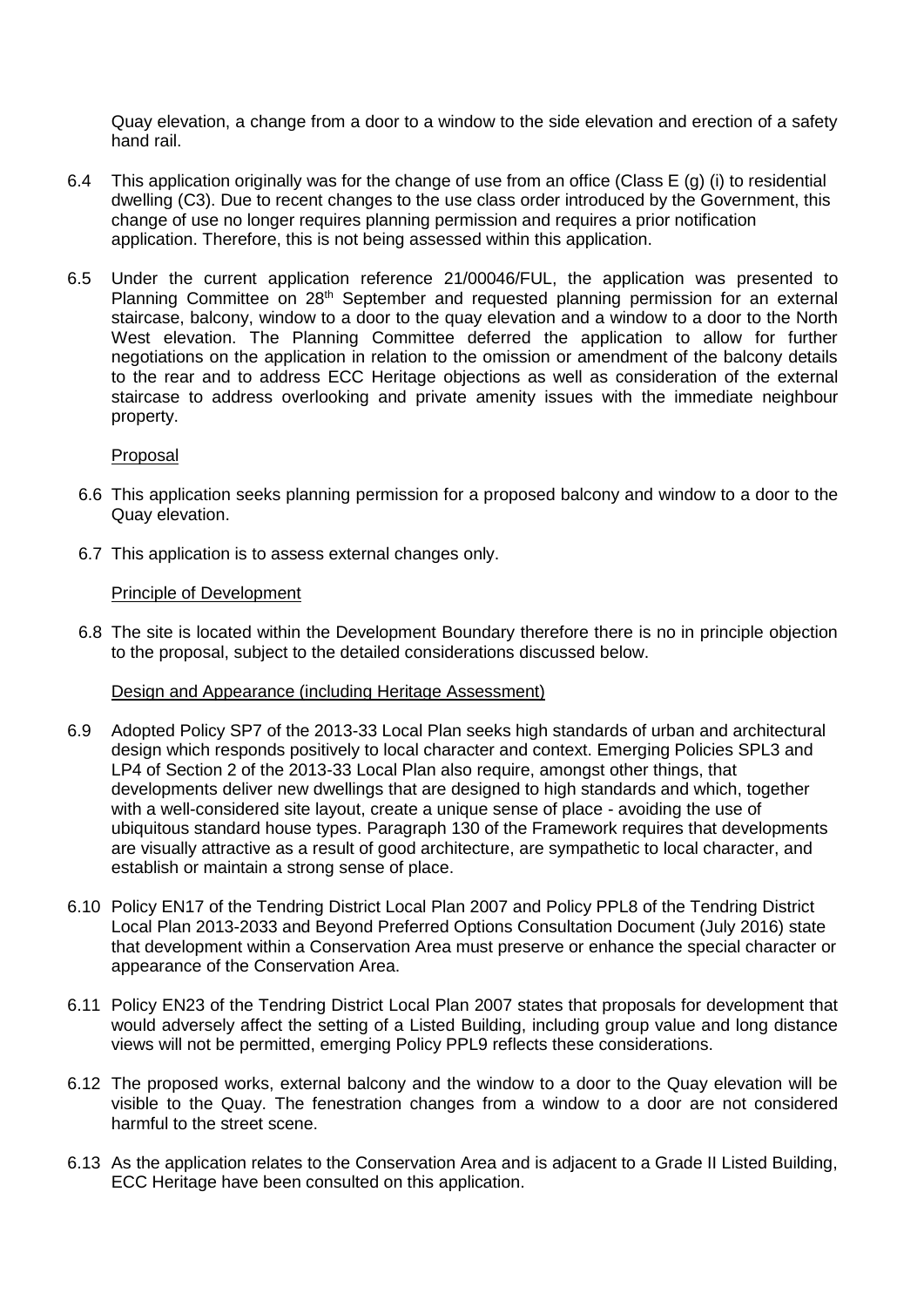Quay elevation, a change from a door to a window to the side elevation and erection of a safety hand rail.

- 6.4 This application originally was for the change of use from an office (Class E (g) (i) to residential dwelling (C3). Due to recent changes to the use class order introduced by the Government, this change of use no longer requires planning permission and requires a prior notification application. Therefore, this is not being assessed within this application.
- 6.5 Under the current application reference 21/00046/FUL, the application was presented to Planning Committee on 28<sup>th</sup> September and requested planning permission for an external staircase, balcony, window to a door to the quay elevation and a window to a door to the North West elevation. The Planning Committee deferred the application to allow for further negotiations on the application in relation to the omission or amendment of the balcony details to the rear and to address ECC Heritage objections as well as consideration of the external staircase to address overlooking and private amenity issues with the immediate neighbour property.

## Proposal

- 6.6 This application seeks planning permission for a proposed balcony and window to a door to the Quay elevation.
- 6.7 This application is to assess external changes only.

## Principle of Development

6.8 The site is located within the Development Boundary therefore there is no in principle objection to the proposal, subject to the detailed considerations discussed below.

### Design and Appearance (including Heritage Assessment)

- 6.9 Adopted Policy SP7 of the 2013-33 Local Plan seeks high standards of urban and architectural design which responds positively to local character and context. Emerging Policies SPL3 and LP4 of Section 2 of the 2013-33 Local Plan also require, amongst other things, that developments deliver new dwellings that are designed to high standards and which, together with a well-considered site layout, create a unique sense of place - avoiding the use of ubiquitous standard house types. Paragraph 130 of the Framework requires that developments are visually attractive as a result of good architecture, are sympathetic to local character, and establish or maintain a strong sense of place.
- 6.10 Policy EN17 of the Tendring District Local Plan 2007 and Policy PPL8 of the Tendring District Local Plan 2013-2033 and Beyond Preferred Options Consultation Document (July 2016) state that development within a Conservation Area must preserve or enhance the special character or appearance of the Conservation Area.
- 6.11 Policy EN23 of the Tendring District Local Plan 2007 states that proposals for development that would adversely affect the setting of a Listed Building, including group value and long distance views will not be permitted, emerging Policy PPL9 reflects these considerations.
- 6.12 The proposed works, external balcony and the window to a door to the Quay elevation will be visible to the Quay. The fenestration changes from a window to a door are not considered harmful to the street scene.
- 6.13 As the application relates to the Conservation Area and is adjacent to a Grade II Listed Building, ECC Heritage have been consulted on this application.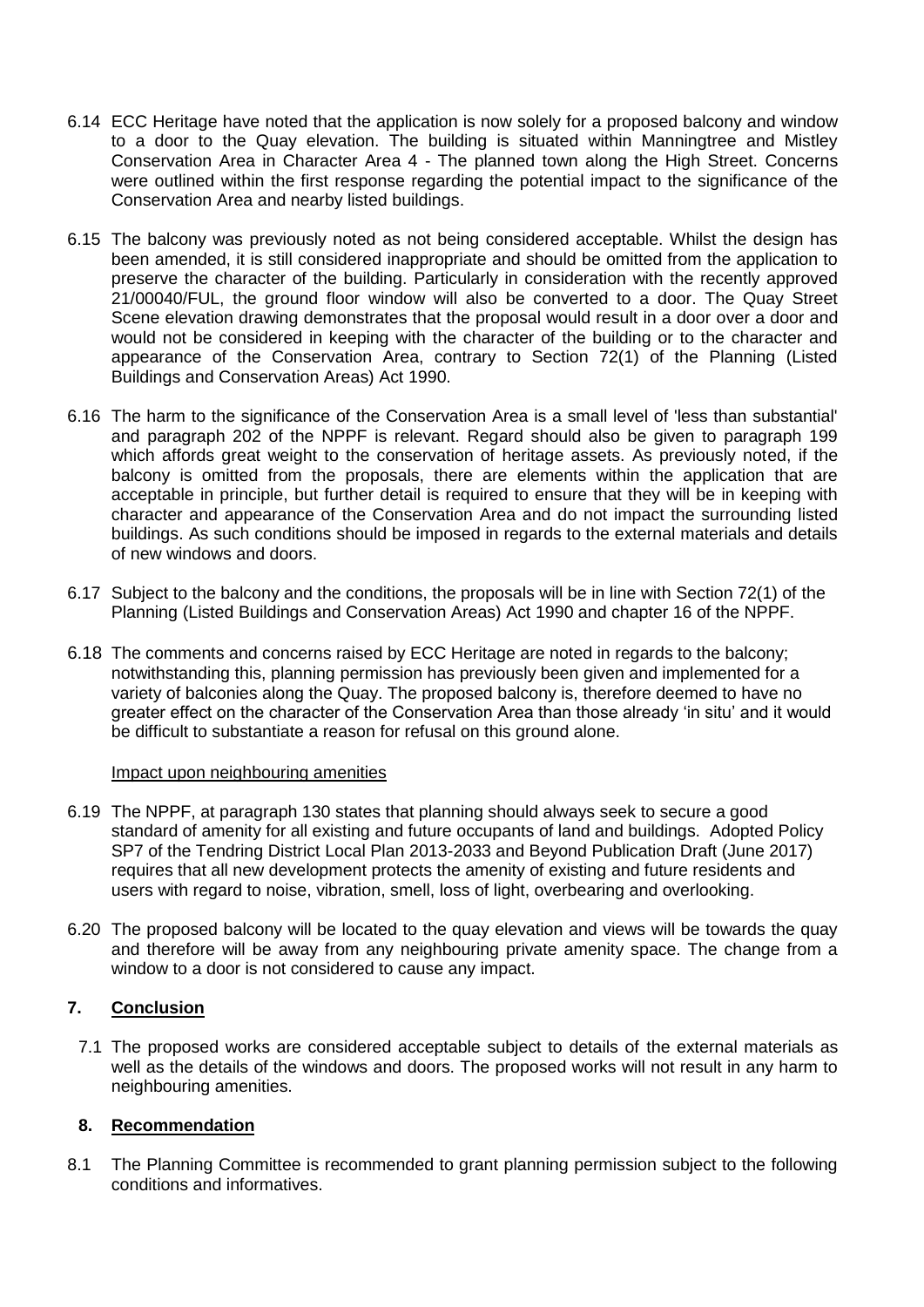- 6.14 ECC Heritage have noted that the application is now solely for a proposed balcony and window to a door to the Quay elevation. The building is situated within Manningtree and Mistley Conservation Area in Character Area 4 - The planned town along the High Street. Concerns were outlined within the first response regarding the potential impact to the significance of the Conservation Area and nearby listed buildings.
- 6.15 The balcony was previously noted as not being considered acceptable. Whilst the design has been amended, it is still considered inappropriate and should be omitted from the application to preserve the character of the building. Particularly in consideration with the recently approved 21/00040/FUL, the ground floor window will also be converted to a door. The Quay Street Scene elevation drawing demonstrates that the proposal would result in a door over a door and would not be considered in keeping with the character of the building or to the character and appearance of the Conservation Area, contrary to Section 72(1) of the Planning (Listed Buildings and Conservation Areas) Act 1990.
- 6.16 The harm to the significance of the Conservation Area is a small level of 'less than substantial' and paragraph 202 of the NPPF is relevant. Regard should also be given to paragraph 199 which affords great weight to the conservation of heritage assets. As previously noted, if the balcony is omitted from the proposals, there are elements within the application that are acceptable in principle, but further detail is required to ensure that they will be in keeping with character and appearance of the Conservation Area and do not impact the surrounding listed buildings. As such conditions should be imposed in regards to the external materials and details of new windows and doors.
- 6.17 Subject to the balcony and the conditions, the proposals will be in line with Section 72(1) of the Planning (Listed Buildings and Conservation Areas) Act 1990 and chapter 16 of the NPPF.
- 6.18 The comments and concerns raised by ECC Heritage are noted in regards to the balcony; notwithstanding this, planning permission has previously been given and implemented for a variety of balconies along the Quay. The proposed balcony is, therefore deemed to have no greater effect on the character of the Conservation Area than those already 'in situ' and it would be difficult to substantiate a reason for refusal on this ground alone.

### Impact upon neighbouring amenities

- 6.19 The NPPF, at paragraph 130 states that planning should always seek to secure a good standard of amenity for all existing and future occupants of land and buildings. Adopted Policy SP7 of the Tendring District Local Plan 2013-2033 and Beyond Publication Draft (June 2017) requires that all new development protects the amenity of existing and future residents and users with regard to noise, vibration, smell, loss of light, overbearing and overlooking.
- 6.20 The proposed balcony will be located to the quay elevation and views will be towards the quay and therefore will be away from any neighbouring private amenity space. The change from a window to a door is not considered to cause any impact.

# **7. Conclusion**

7.1 The proposed works are considered acceptable subject to details of the external materials as well as the details of the windows and doors. The proposed works will not result in any harm to neighbouring amenities.

# **8. Recommendation**

8.1 The Planning Committee is recommended to grant planning permission subject to the following conditions and informatives.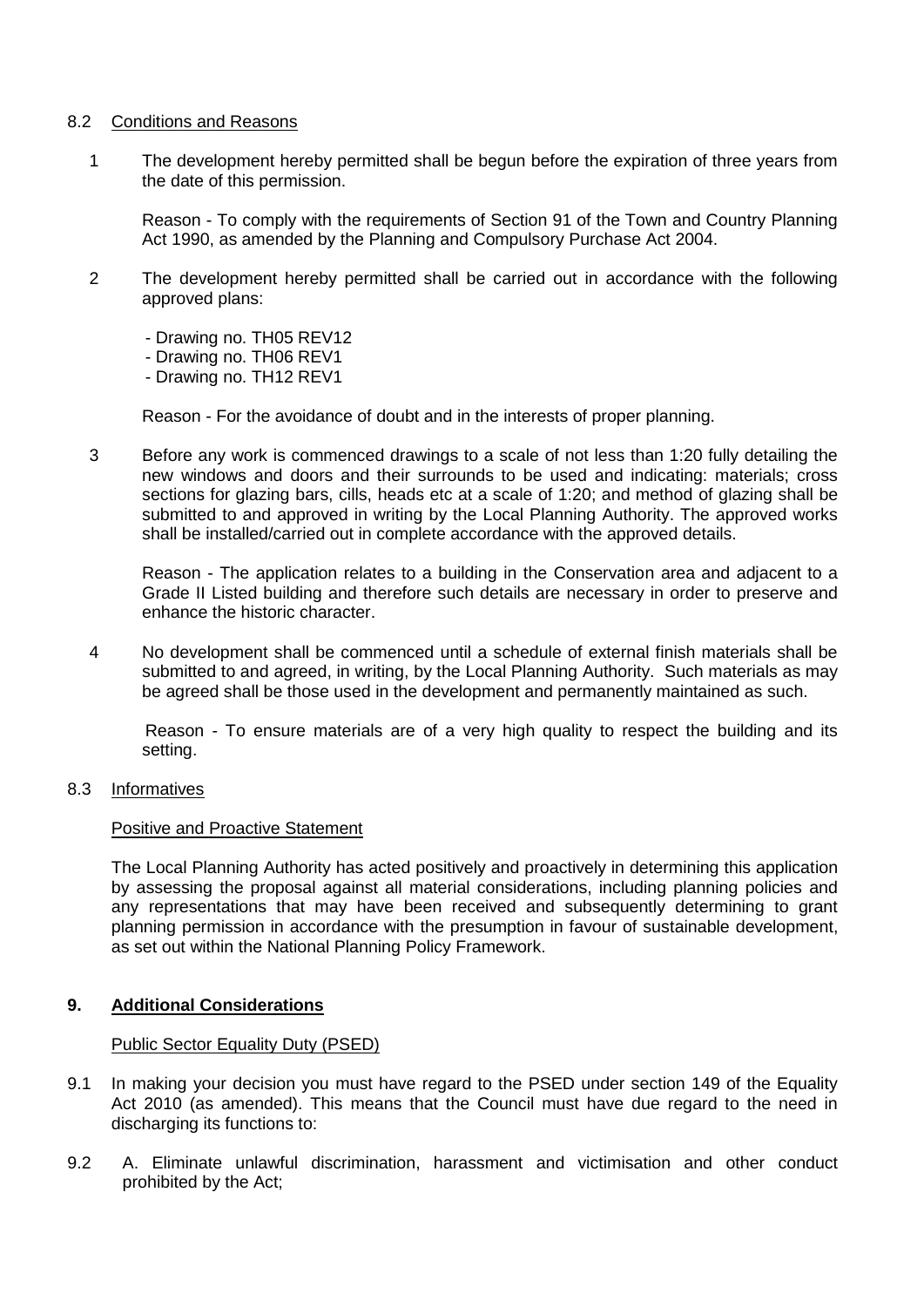### 8.2 Conditions and Reasons

1 The development hereby permitted shall be begun before the expiration of three years from the date of this permission.

Reason - To comply with the requirements of Section 91 of the Town and Country Planning Act 1990, as amended by the Planning and Compulsory Purchase Act 2004.

- 2 The development hereby permitted shall be carried out in accordance with the following approved plans:
	- Drawing no. TH05 REV12
	- Drawing no. TH06 REV1
	- Drawing no. TH12 REV1

Reason - For the avoidance of doubt and in the interests of proper planning.

3 Before any work is commenced drawings to a scale of not less than 1:20 fully detailing the new windows and doors and their surrounds to be used and indicating: materials; cross sections for glazing bars, cills, heads etc at a scale of 1:20; and method of glazing shall be submitted to and approved in writing by the Local Planning Authority. The approved works shall be installed/carried out in complete accordance with the approved details.

Reason - The application relates to a building in the Conservation area and adjacent to a Grade II Listed building and therefore such details are necessary in order to preserve and enhance the historic character.

4 No development shall be commenced until a schedule of external finish materials shall be submitted to and agreed, in writing, by the Local Planning Authority. Such materials as may be agreed shall be those used in the development and permanently maintained as such.

Reason - To ensure materials are of a very high quality to respect the building and its setting.

8.3 Informatives

### Positive and Proactive Statement

The Local Planning Authority has acted positively and proactively in determining this application by assessing the proposal against all material considerations, including planning policies and any representations that may have been received and subsequently determining to grant planning permission in accordance with the presumption in favour of sustainable development, as set out within the National Planning Policy Framework.

# **9. Additional Considerations**

### Public Sector Equality Duty (PSED)

- 9.1 In making your decision you must have regard to the PSED under section 149 of the Equality Act 2010 (as amended). This means that the Council must have due regard to the need in discharging its functions to:
- 9.2 A. Eliminate unlawful discrimination, harassment and victimisation and other conduct prohibited by the Act;